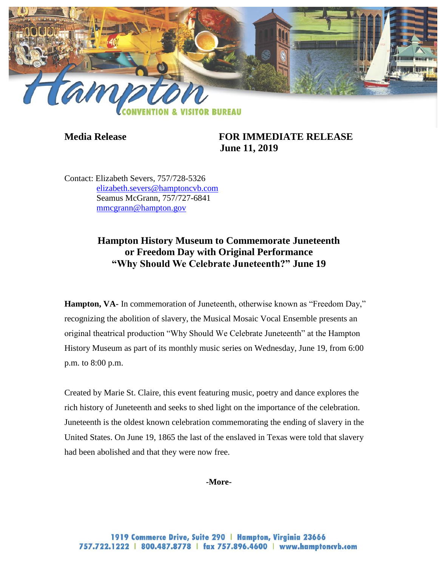

# **Media Release FOR IMMEDIATE RELEASE June 11, 2019**

Contact: Elizabeth Severs, 757/728-5326 [elizabeth.severs@hamptoncvb.com](mailto:elizabeth.severs@hamptoncvb.com) Seamus McGrann, 757/727-6841 [mmcgrann@hampton.gov](mailto:mmcgrann@hampton.gov)

# **Hampton History Museum to Commemorate Juneteenth or Freedom Day with Original Performance "Why Should We Celebrate Juneteenth?" June 19**

**Hampton, VA-** In commemoration of Juneteenth, otherwise known as "Freedom Day," recognizing the abolition of slavery, the Musical Mosaic Vocal Ensemble presents an original theatrical production "Why Should We Celebrate Juneteenth" at the Hampton History Museum as part of its monthly music series on Wednesday, June 19, from 6:00 p.m. to 8:00 p.m.

Created by Marie St. Claire, this event featuring music, poetry and dance explores the rich history of Juneteenth and seeks to shed light on the importance of the celebration. Juneteenth is the oldest known celebration commemorating the ending of slavery in the United States. On June 19, 1865 the last of the enslaved in Texas were told that slavery had been abolished and that they were now free.

## **-More-**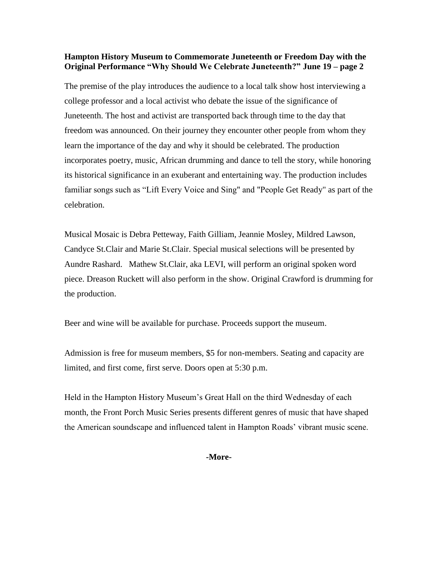# **Hampton History Museum to Commemorate Juneteenth or Freedom Day with the Original Performance "Why Should We Celebrate Juneteenth?" June 19 – page 2**

The premise of the play introduces the audience to a local talk show host interviewing a college professor and a local activist who debate the issue of the significance of Juneteenth. The host and activist are transported back through time to the day that freedom was announced. On their journey they encounter other people from whom they learn the importance of the day and why it should be celebrated. The production incorporates poetry, music, African drumming and dance to tell the story, while honoring its historical significance in an exuberant and entertaining way. The production includes familiar songs such as "Lift Every Voice and Sing" and "People Get Ready" as part of the celebration.

Musical Mosaic is Debra Petteway, Faith Gilliam, Jeannie Mosley, Mildred Lawson, Candyce St.Clair and Marie St.Clair. Special musical selections will be presented by Aundre Rashard. Mathew St.Clair, aka LEVI, will perform an original spoken word piece. Dreason Ruckett will also perform in the show. Original Crawford is drumming for the production.

Beer and wine will be available for purchase. Proceeds support the museum.

Admission is free for museum members, \$5 for non-members. Seating and capacity are limited, and first come, first serve. Doors open at 5:30 p.m.

Held in the Hampton History Museum's Great Hall on the third Wednesday of each month, the Front Porch Music Series presents different genres of music that have shaped the American soundscape and influenced talent in Hampton Roads' vibrant music scene.

## **-More-**